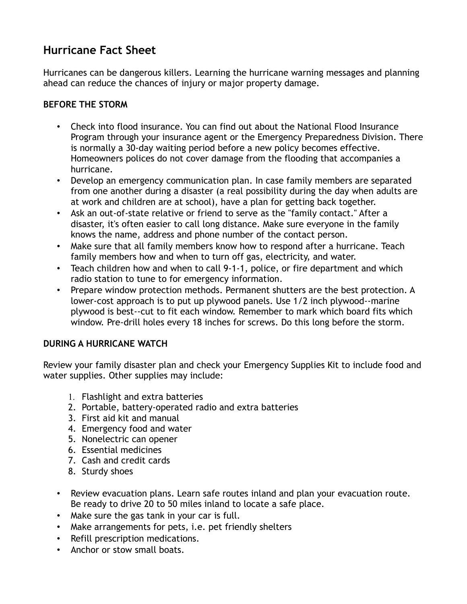# **Hurricane Fact Sheet**

Hurricanes can be dangerous killers. Learning the hurricane warning messages and planning ahead can reduce the chances of injury or major property damage.

### **BEFORE THE STORM**

- Check into flood insurance. You can find out about the National Flood Insurance Program through your insurance agent or the Emergency Preparedness Division. There is normally a 30-day waiting period before a new policy becomes effective. Homeowners polices do not cover damage from the flooding that accompanies a hurricane.
- Develop an emergency communication plan. In case family members are separated from one another during a disaster (a real possibility during the day when adults are at work and children are at school), have a plan for getting back together.
- Ask an out-of-state relative or friend to serve as the "family contact." After a disaster, it's often easier to call long distance. Make sure everyone in the family knows the name, address and phone number of the contact person.
- Make sure that all family members know how to respond after a hurricane. Teach family members how and when to turn off gas, electricity, and water.
- Teach children how and when to call 9-1-1, police, or fire department and which radio station to tune to for emergency information.
- Prepare window protection methods. Permanent shutters are the best protection. A lower-cost approach is to put up plywood panels. Use 1/2 inch plywood--marine plywood is best--cut to fit each window. Remember to mark which board fits which window. Pre-drill holes every 18 inches for screws. Do this long before the storm.

## **DURING A HURRICANE WATCH**

Review your family disaster plan and check your Emergency Supplies Kit to include food and water supplies. Other supplies may include:

- 1. Flashlight and extra batteries
- 2. Portable, battery-operated radio and extra batteries
- 3. First aid kit and manual
- 4. Emergency food and water
- 5. Nonelectric can opener
- 6. Essential medicines
- 7. Cash and credit cards
- 8. Sturdy shoes
- Review evacuation plans. Learn safe routes inland and plan your evacuation route. Be ready to drive 20 to 50 miles inland to locate a safe place.
- Make sure the gas tank in your car is full.
- Make arrangements for pets, i.e. pet friendly shelters
- Refill prescription medications.
- Anchor or stow small boats.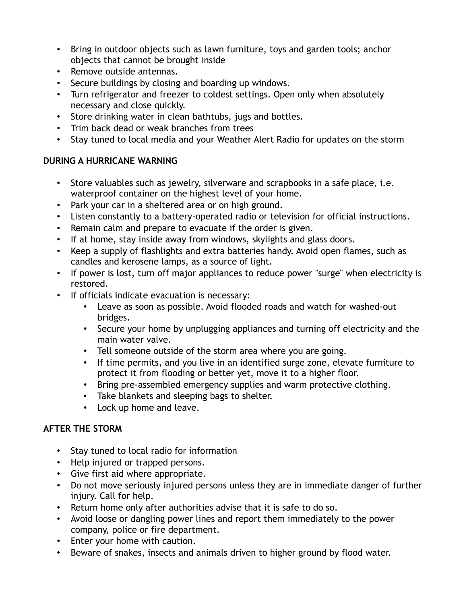- Bring in outdoor objects such as lawn furniture, toys and garden tools; anchor objects that cannot be brought inside
- Remove outside antennas.
- Secure buildings by closing and boarding up windows.
- Turn refrigerator and freezer to coldest settings. Open only when absolutely necessary and close quickly.
- Store drinking water in clean bathtubs, jugs and bottles.
- Trim back dead or weak branches from trees
- Stay tuned to local media and your Weather Alert Radio for updates on the storm

### **DURING A HURRICANE WARNING**

- Store valuables such as jewelry, silverware and scrapbooks in a safe place, i.e. waterproof container on the highest level of your home.
- Park your car in a sheltered area or on high ground.
- Listen constantly to a battery-operated radio or television for official instructions.
- Remain calm and prepare to evacuate if the order is given.
- If at home, stay inside away from windows, skylights and glass doors.
- Keep a supply of flashlights and extra batteries handy. Avoid open flames, such as candles and kerosene lamps, as a source of light.
- If power is lost, turn off major appliances to reduce power "surge" when electricity is restored.
- If officials indicate evacuation is necessary:
	- Leave as soon as possible. Avoid flooded roads and watch for washed-out bridges.
	- Secure your home by unplugging appliances and turning off electricity and the main water valve.
	- Tell someone outside of the storm area where you are going.
	- If time permits, and you live in an identified surge zone, elevate furniture to protect it from flooding or better yet, move it to a higher floor.
	- Bring pre-assembled emergency supplies and warm protective clothing.
	- Take blankets and sleeping bags to shelter.
	- Lock up home and leave.

#### **AFTER THE STORM**

- Stay tuned to local radio for information
- Help injured or trapped persons.
- Give first aid where appropriate.
- Do not move seriously injured persons unless they are in immediate danger of further injury. Call for help.
- Return home only after authorities advise that it is safe to do so.
- Avoid loose or dangling power lines and report them immediately to the power company, police or fire department.
- Enter your home with caution.
- Beware of snakes, insects and animals driven to higher ground by flood water.